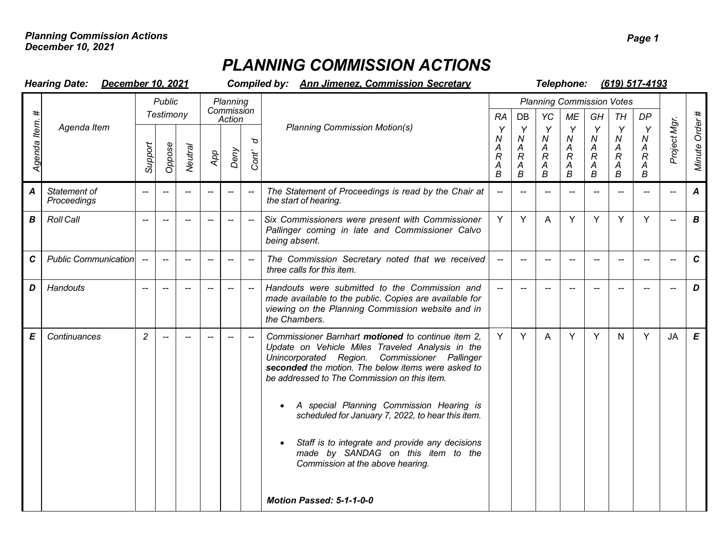## *PLANNING COMMISSION ACTIONS*

|                  | <b>Hearing Date:</b><br>December 10, 2021 |                            |        |                | <b>Compiled by: Ann Jimenez. Commission Secretary</b> |                                     |                          |                                                                                                                                                                                                                                                                                                                                                                                                                                                                                             |                                         |                                                                       | Telephone:<br>(619) 517-4193                                         |                                                           |                                                                       |                                                        |                                                  |                          |                  |
|------------------|-------------------------------------------|----------------------------|--------|----------------|-------------------------------------------------------|-------------------------------------|--------------------------|---------------------------------------------------------------------------------------------------------------------------------------------------------------------------------------------------------------------------------------------------------------------------------------------------------------------------------------------------------------------------------------------------------------------------------------------------------------------------------------------|-----------------------------------------|-----------------------------------------------------------------------|----------------------------------------------------------------------|-----------------------------------------------------------|-----------------------------------------------------------------------|--------------------------------------------------------|--------------------------------------------------|--------------------------|------------------|
| Agenda Item      | Agenda Item                               | <b>Public</b><br>Testimony |        |                | Planning<br>Commission<br>Action                      |                                     |                          |                                                                                                                                                                                                                                                                                                                                                                                                                                                                                             | <b>RA</b>                               | DB                                                                    | YC                                                                   | <b>ME</b>                                                 | GH                                                                    | <b>Planning Commission Votes</b><br>DP<br>TH           |                                                  |                          |                  |
|                  |                                           | Support                    | Oppose | <b>Neutral</b> | App                                                   | Deny                                | p<br>Cont'               | <b>Planning Commission Motion(s)</b>                                                                                                                                                                                                                                                                                                                                                                                                                                                        | Y<br>N<br>A<br>$\overline{R}$<br>A<br>B | Y<br>$\boldsymbol{N}$<br>A<br>$\overline{R}$<br>Α<br>$\boldsymbol{B}$ | Y<br>$\boldsymbol{N}$<br>Α<br>$\mathcal{R}$<br>A<br>$\boldsymbol{B}$ | Y<br>${\cal N}$<br>$\frac{A}{R}$<br>$\mathop{B}\limits^A$ | Y<br>$\boldsymbol{N}$<br>A<br>$\overline{R}$<br>A<br>$\boldsymbol{B}$ | Y<br>N<br>Α<br>$\overline{R}$<br>A<br>$\boldsymbol{B}$ | Y<br>${\cal N}$<br>A<br>$\overline{R}$<br>A<br>B | Project Mgr.             | Minute Order#    |
| $\boldsymbol{A}$ | Statement of<br>Proceedings               | $\overline{\phantom{a}}$   |        |                |                                                       |                                     |                          | The Statement of Proceedings is read by the Chair at<br>the start of hearing.                                                                                                                                                                                                                                                                                                                                                                                                               | $\sim$                                  |                                                                       |                                                                      | $\mathbf{u}$                                              |                                                                       |                                                        | $-$                                              | --                       | $\boldsymbol{A}$ |
| $\boldsymbol{B}$ | <b>Roll Call</b>                          |                            |        |                |                                                       |                                     |                          | Six Commissioners were present with Commissioner<br>Pallinger coming in late and Commissioner Calvo<br>being absent.                                                                                                                                                                                                                                                                                                                                                                        | Y                                       | Y                                                                     | A                                                                    | Y                                                         | Y                                                                     | Y                                                      | Y                                                |                          | $\boldsymbol{B}$ |
| $\mathbf c$      | <b>Public Communication</b>               | $\sim$                     |        |                | $\hspace{0.05cm}$ $\hspace{0.05cm}$                   | $\hspace{0.05cm}$ $\hspace{0.05cm}$ | $\overline{\phantom{a}}$ | The Commission Secretary noted that we received<br>three calls for this item.                                                                                                                                                                                                                                                                                                                                                                                                               | $\hspace{0.05cm}$ $\hspace{0.05cm}$     | $-$                                                                   | --                                                                   | $\overline{\phantom{0}}$                                  | $-$                                                                   | --                                                     | $\overline{\phantom{a}}$                         | $\overline{\phantom{a}}$ | $\mathbf{C}$     |
| D                | Handouts                                  | $\sim$                     |        |                | $\overline{\phantom{a}}$                              | $-$                                 | $\overline{\phantom{a}}$ | Handouts were submitted to the Commission and<br>made available to the public. Copies are available for<br>viewing on the Planning Commission website and in<br>the Chambers.                                                                                                                                                                                                                                                                                                               | $- -$                                   |                                                                       | $-$                                                                  | $\overline{\phantom{a}}$                                  | $\overline{\phantom{a}}$                                              | $\overline{\phantom{a}}$                               | $-$                                              | --                       | D                |
| Е                | Continuances                              | $\overline{c}$             |        |                |                                                       |                                     |                          | Commissioner Barnhart motioned to continue item 2,<br>Update on Vehicle Miles Traveled Analysis in the<br>Unincorporated Region. Commissioner Pallinger<br>seconded the motion. The below items were asked to<br>be addressed to The Commission on this item.<br>A special Planning Commission Hearing is<br>scheduled for January 7, 2022, to hear this item.<br>Staff is to integrate and provide any decisions<br>made by SANDAG on this item to the<br>Commission at the above hearing. | Y                                       | Y                                                                     | A                                                                    | Y                                                         | Y                                                                     | N                                                      | Y                                                | <b>JA</b>                | $\pmb{E}$        |
|                  |                                           |                            |        |                |                                                       |                                     |                          | Motion Passed: 5-1-1-0-0                                                                                                                                                                                                                                                                                                                                                                                                                                                                    |                                         |                                                                       |                                                                      |                                                           |                                                                       |                                                        |                                                  |                          |                  |